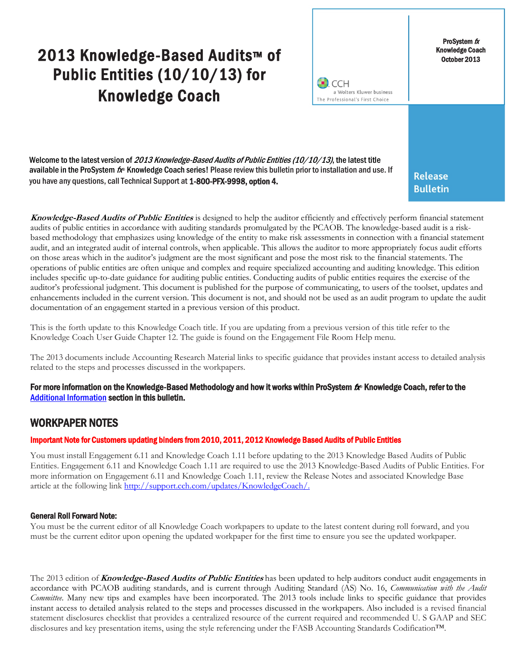# 2013 Knowledge-Based Audits™ of Public Entities (10/10/13) for Knowledge Coach



ProSystem  $f_X$ Knowledge Coach October 2013

Welcome to the latest version of 2013 Knowledge-Based Audits of Public Entities (10/10/13), the latest title available in the ProSystem  $f$  Knowledge Coach series! Please review this bulletin prior to installation and use. If you have any questions, call Technical Support at 1-800-PFX-9998, option 4.

**Release Bulletin** 

**Knowledge-Based Audits of Public Entities** is designed to help the auditor efficiently and effectively perform financial statement audits of public entities in accordance with auditing standards promulgated by the PCAOB. The knowledge-based audit is a riskbased methodology that emphasizes using knowledge of the entity to make risk assessments in connection with a financial statement audit, and an integrated audit of internal controls, when applicable. This allows the auditor to more appropriately focus audit efforts on those areas which in the auditor's judgment are the most significant and pose the most risk to the financial statements. The operations of public entities are often unique and complex and require specialized accounting and auditing knowledge. This edition includes specific up-to-date guidance for auditing public entities. Conducting audits of public entities requires the exercise of the auditor's professional judgment. This document is published for the purpose of communicating, to users of the toolset, updates and enhancements included in the current version. This document is not, and should not be used as an audit program to update the audit documentation of an engagement started in a previous version of this product.

This is the forth update to this Knowledge Coach title. If you are updating from a previous version of this title refer to the Knowledge Coach User Guide Chapter 12. The guide is found on the Engagement File Room Help menu.

The 2013 documents include Accounting Research Material links to specific guidance that provides instant access to detailed analysis related to the steps and processes discussed in the workpapers.

### For more information on the Knowledge-Based Methodology and how it works within ProSystem  $f_\text{R}$  Knowledge Coach, refer to the [Additional Information s](#page-2-0)ection in this bulletin.

## WORKPAPER NOTES

### Important Note for Customers updating binders from 2010, 2011, 2012 Knowledge Based Audits of Public Entities

You must install Engagement 6.11 and Knowledge Coach 1.11 before updating to the 2013 Knowledge Based Audits of Public Entities. Engagement 6.11 and Knowledge Coach 1.11 are required to use the 2013 Knowledge-Based Audits of Public Entities. For more information on Engagement 6.11 and Knowledge Coach 1.11, review the Release Notes and associated Knowledge Base article at the following link [http://support.cch.com/updates/KnowledgeCoach/.](http://support.cch.com/updates/KnowledgeCoach/)

### General Roll Forward Note:

You must be the current editor of all Knowledge Coach workpapers to update to the latest content during roll forward, and you must be the current editor upon opening the updated workpaper for the first time to ensure you see the updated workpaper.

The 2013 edition of **Knowledge-Based Audits of Public Entities** has been updated to help auditors conduct audit engagements in accordance with PCAOB auditing standards, and is current through Auditing Standard (AS) No. 16, *Communication with the Audit Committee.* Many new tips and examples have been incorporated. The 2013 tools include links to specific guidance that provides instant access to detailed analysis related to the steps and processes discussed in the workpapers. Also included is a revised financial statement disclosures checklist that provides a centralized resource of the current required and recommended U. S GAAP and SEC disclosures and key presentation items, using the style referencing under the FASB Accounting Standards Codification™.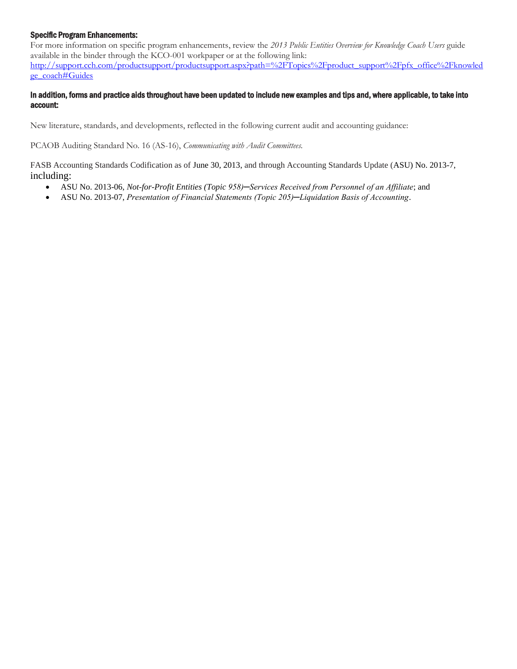### Specific Program Enhancements:

For more information on specific program enhancements, review the *2013 Public Entities Overview for Knowledge Coach Users* guide available in the binder through the KCO-001 workpaper or at the following link: [http://support.cch.com/productsupport/productsupport.aspx?path=%2FTopics%2Fproduct\\_support%2Fpfx\\_office%2Fknowled](http://support.cch.com/productsupport/productsupport.aspx?path=%2FTopics%2Fproduct_support%2Fpfx_office%2Fknowledge_coach) [ge\\_coach#Guides](http://support.cch.com/productsupport/productsupport.aspx?path=%2FTopics%2Fproduct_support%2Fpfx_office%2Fknowledge_coach)

### In addition, forms and practice aids throughout have been updated to include new examples and tips and, where applicable, to take into account:

New literature, standards, and developments, reflected in the following current audit and accounting guidance:

PCAOB Auditing Standard No. 16 (AS-16), *Communicating with Audit Committees.* 

FASB Accounting Standards Codification as of June 30, 2013, and through Accounting Standards Update (ASU) No. 2013-7, including:

- ASU No. 2013-06, *Not-for-Profit Entities (Topic 958)─Services Received from Personnel of an Affiliate*; and
- ASU No. 2013-07, *Presentation of Financial Statements (Topic 205)─Liquidation Basis of Accounting*.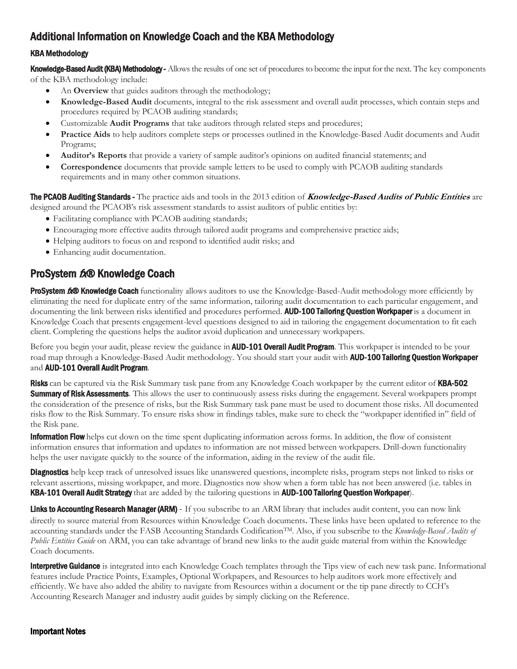# <span id="page-2-0"></span>Additional Information on Knowledge Coach and the KBA Methodology

### KBA Methodology

Knowledge-Based Audit (KBA) Methodology - Allows the results of one set of procedures to become the input for the next. The key components of the KBA methodology include:

- An **Overview** that guides auditors through the methodology;
- **Knowledge-Based Audit** documents, integral to the risk assessment and overall audit processes, which contain steps and procedures required by PCAOB auditing standards;
- Customizable **Audit Programs** that take auditors through related steps and procedures;
- **Practice Aids** to help auditors complete steps or processes outlined in the Knowledge-Based Audit documents and Audit Programs;
- **Auditor's Reports** that provide a variety of sample auditor's opinions on audited financial statements; and
- **Correspondence** documents that provide sample letters to be used to comply with PCAOB auditing standards requirements and in many other common situations.

The PCAOB Auditing Standards - The practice aids and tools in the 2013 edition of **Knowledge-Based Audits of Public Entities** are designed around the PCAOB's risk assessment standards to assist auditors of public entities by:

- Facilitating compliance with PCAOB auditing standards;
- Encouraging more effective audits through tailored audit programs and comprehensive practice aids;
- Helping auditors to focus on and respond to identified audit risks; and
- Enhancing audit documentation.

### ProSystem fx® Knowledge Coach

ProSystem 6.® Knowledge Coach functionality allows auditors to use the Knowledge-Based-Audit methodology more efficiently by eliminating the need for duplicate entry of the same information, tailoring audit documentation to each particular engagement, and documenting the link between risks identified and procedures performed. AUD-100 Tailoring Question Workpaper is a document in Knowledge Coach that presents engagement-level questions designed to aid in tailoring the engagement documentation to fit each client. Completing the questions helps the auditor avoid duplication and unnecessary workpapers.

Before you begin your audit, please review the guidance in **AUD-101 Overall Audit Program**. This workpaper is intended to be your road map through a Knowledge-Based Audit methodology. You should start your audit with **AUD-100 Tailoring Question Workpaper** and AUD-101 Overall Audit Program.

**Risks** can be captured via the Risk Summary task pane from any Knowledge Coach workpaper by the current editor of **KBA-502** Summary of Risk Assessments. This allows the user to continuously assess risks during the engagement. Several workpapers prompt the consideration of the presence of risks, but the Risk Summary task pane must be used to document those risks. All documented risks flow to the Risk Summary. To ensure risks show in findings tables, make sure to check the "workpaper identified in" field of the Risk pane.

**Information Flow** helps cut down on the time spent duplicating information across forms. In addition, the flow of consistent information ensures that information and updates to information are not missed between workpapers. Drill-down functionality helps the user navigate quickly to the source of the information, aiding in the review of the audit file.

**Diagnostics** help keep track of unresolved issues like unanswered questions, incomplete risks, program steps not linked to risks or relevant assertions, missing workpaper, and more. Diagnostics now show when a form table has not been answered (i.e. tables in KBA-101 Overall Audit Strategy that are added by the tailoring questions in AUD-100 Tailoring Question Workpaper).

Links to Accounting Research Manager (ARM) - If you subscribe to an ARM library that includes audit content, you can now link directly to source material from Resources within Knowledge Coach documents. These links have been updated to reference to the accounting standards under the FASB Accounting Standards CodificationTM. Also, if you subscribe to the *Knowledge-Based Audits of Public Entities Guide* on ARM, you can take advantage of brand new links to the audit guide material from within the Knowledge Coach documents.

**Interpretive Guidance** is integrated into each Knowledge Coach templates through the Tips view of each new task pane. Informational features include Practice Points, Examples, Optional Workpapers, and Resources to help auditors work more effectively and efficiently. We have also added the ability to navigate from Resources within a document or the tip pane directly to CCH's Accounting Research Manager and industry audit guides by simply clicking on the Reference.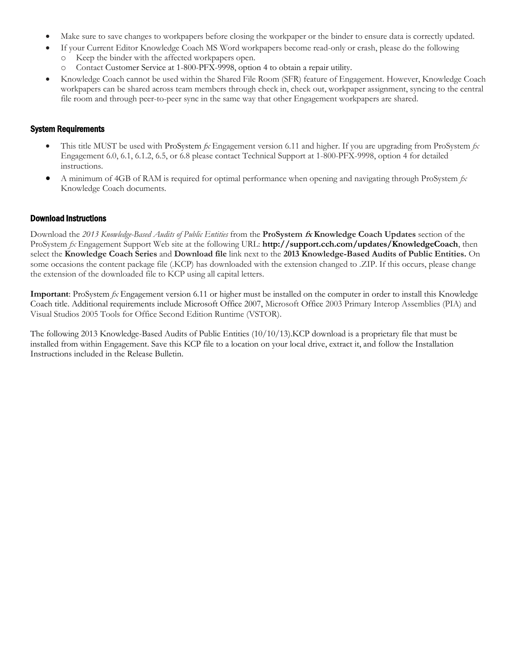- Make sure to save changes to workpapers before closing the workpaper or the binder to ensure data is correctly updated.
- If your Current Editor Knowledge Coach MS Word workpapers become read-only or crash, please do the following
	- o Keep the binder with the affected workpapers open.
	- Contact Customer Service at 1-800-PFX-9998, option 4 to obtain a repair utility.
- Knowledge Coach cannot be used within the Shared File Room (SFR) feature of Engagement. However, Knowledge Coach workpapers can be shared across team members through check in, check out, workpaper assignment, syncing to the central file room and through peer-to-peer sync in the same way that other Engagement workpapers are shared.

### System Requirements

- This title MUST be used with ProSystem *fx* Engagement version 6.11 and higher. If you are upgrading from ProSystem *fx*  Engagement 6.0, 6.1, 6.1.2, 6.5, or 6.8 please contact Technical Support at 1-800-PFX-9998, option 4 for detailed instructions.
- A minimum of 4GB of RAM is required for optimal performance when opening and navigating through ProSystem *fx*  Knowledge Coach documents.

### Download Instructions

Download the *2013 Knowledge-Based Audits of Public Entities* from the **ProSystem fx Knowledge Coach Updates** section of the ProSystem *fx* Engagement Support Web site at the following URL: **http://support.cch.com/updates/KnowledgeCoach**, then select the **Knowledge Coach Series** and **Download file** link next to the **2013 Knowledge-Based Audits of Public Entities.** On some occasions the content package file (.KCP) has downloaded with the extension changed to .ZIP. If this occurs, please change the extension of the downloaded file to KCP using all capital letters.

**Important**: ProSystem *fx* Engagement version 6.11 or higher must be installed on the computer in order to install this Knowledge Coach title. Additional requirements include Microsoft Office 2007, Microsoft Office 2003 Primary Interop Assemblies (PIA) and Visual Studios 2005 Tools for Office Second Edition Runtime (VSTOR).

The following 2013 Knowledge-Based Audits of Public Entities (10/10/13).KCP download is a proprietary file that must be installed from within Engagement. Save this KCP file to a location on your local drive, extract it, and follow the Installation Instructions included in the Release Bulletin.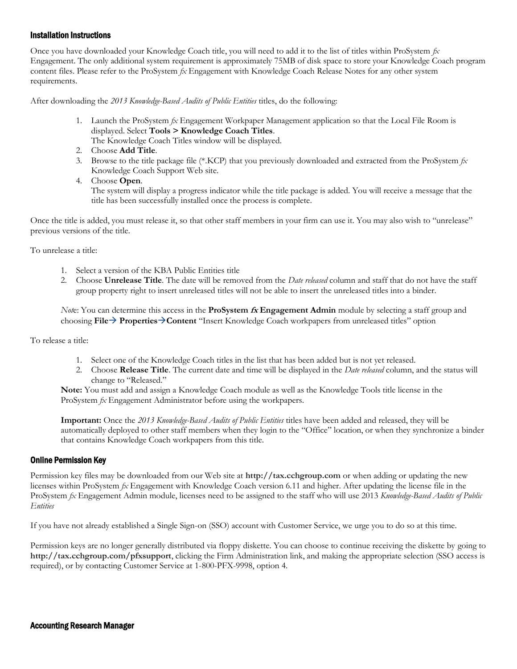### Installation Instructions

Once you have downloaded your Knowledge Coach title, you will need to add it to the list of titles within ProSystem *fx*  Engagement. The only additional system requirement is approximately 75MB of disk space to store your Knowledge Coach program content files. Please refer to the ProSystem *fx* Engagement with Knowledge Coach Release Notes for any other system requirements.

After downloading the *2013 Knowledge-Based Audits of Public Entities* titles, do the following:

1. Launch the ProSystem *fx* Engagement Workpaper Management application so that the Local File Room is displayed. Select **Tools > Knowledge Coach Titles**.

The Knowledge Coach Titles window will be displayed.

- 2. Choose **Add Title**.
- 3. Browse to the title package file (\*.KCP) that you previously downloaded and extracted from the ProSystem *fx*  Knowledge Coach Support Web site.
- 4. Choose **Open**.

The system will display a progress indicator while the title package is added. You will receive a message that the title has been successfully installed once the process is complete.

Once the title is added, you must release it, so that other staff members in your firm can use it. You may also wish to "unrelease" previous versions of the title.

To unrelease a title:

- 1. Select a version of the KBA Public Entities title
- 2. Choose **Unrelease Title**. The date will be removed from the *Date released* column and staff that do not have the staff group property right to insert unreleased titles will not be able to insert the unreleased titles into a binder.

*Not*e: You can determine this access in the **ProSystem fx Engagement Admin** module by selecting a staff group and choosing **File PropertiesContent** "Insert Knowledge Coach workpapers from unreleased titles" option

To release a title:

- 1. Select one of the Knowledge Coach titles in the list that has been added but is not yet released.
- 2. Choose **Release Title**. The current date and time will be displayed in the *Date released* column, and the status will change to "Released."

**Note:** You must add and assign a Knowledge Coach module as well as the Knowledge Tools title license in the ProSystem *fx* Engagement Administrator before using the workpapers.

**Important:** Once the *2013 Knowledge-Based Audits of Public Entities* titles have been added and released, they will be automatically deployed to other staff members when they login to the "Office" location, or when they synchronize a binder that contains Knowledge Coach workpapers from this title.

### Online Permission Key

Permission key files may be downloaded from our Web site at **http://tax.cchgroup.com** or when adding or updating the new licenses within ProSystem *fx* Engagement with Knowledge Coach version 6.11 and higher. After updating the license file in the ProSystem *fx* Engagement Admin module, licenses need to be assigned to the staff who will use 2013 *Knowledge-Based Audits of Public Entities*

If you have not already established a Single Sign-on (SSO) account with Customer Service, we urge you to do so at this time.

Permission keys are no longer generally distributed via floppy diskette. You can choose to continue receiving the diskette by going to **http://tax.cchgroup.com/pfxsupport**, clicking the Firm Administration link, and making the appropriate selection (SSO access is required), or by contacting Customer Service at 1-800-PFX-9998, option 4.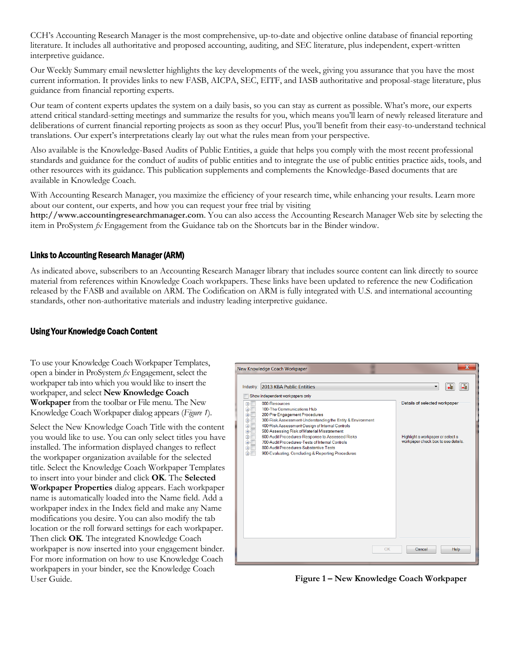CCH's Accounting Research Manager is the most comprehensive, up-to-date and objective online database of financial reporting literature. It includes all authoritative and proposed accounting, auditing, and SEC literature, plus independent, expert-written interpretive guidance.

Our Weekly Summary email newsletter highlights the key developments of the week, giving you assurance that you have the most current information. It provides links to new FASB, AICPA, SEC, EITF, and IASB authoritative and proposal-stage literature, plus guidance from financial reporting experts.

Our team of content experts updates the system on a daily basis, so you can stay as current as possible. What's more, our experts attend critical standard-setting meetings and summarize the results for you, which means you'll learn of newly released literature and deliberations of current financial reporting projects as soon as they occur! Plus, you'll benefit from their easy-to-understand technical translations. Our expert's interpretations clearly lay out what the rules mean from your perspective.

Also available is the Knowledge-Based Audits of Public Entities, a guide that helps you comply with the most recent professional standards and guidance for the conduct of audits of public entities and to integrate the use of public entities practice aids, tools, and other resources with its guidance. This publication supplements and complements the Knowledge-Based documents that are available in Knowledge Coach.

With Accounting Research Manager, you maximize the efficiency of your research time, while enhancing your results. Learn more about our content, our experts, and how you can request your free trial by visiting

**http://www.accountingresearchmanager.com**. You can also access the Accounting Research Manager Web site by selecting the item in ProSystem *fx* Engagement from the Guidance tab on the Shortcuts bar in the Binder window.

### Links to Accounting Research Manager (ARM)

As indicated above, subscribers to an Accounting Research Manager library that includes source content can link directly to source material from references within Knowledge Coach workpapers. These links have been updated to reference the new Codification released by the FASB and available on ARM. The Codification on ARM is fully integrated with U.S. and international accounting standards, other non-authoritative materials and industry leading interpretive guidance.

### Using Your Knowledge Coach Content

To use your Knowledge Coach Workpaper Templates, open a binder in ProSystem *fx* Engagement, select the workpaper tab into which you would like to insert the workpaper, and select **New Knowledge Coach Workpaper** from the toolbar or File menu. The New Knowledge Coach Workpaper dialog appears (*Figure 1*).

Select the New Knowledge Coach Title with the content you would like to use. You can only select titles you have installed. The information displayed changes to reflect the workpaper organization available for the selected title. Select the Knowledge Coach Workpaper Templates to insert into your binder and click **OK**. The **Selected Workpaper Properties** dialog appears. Each workpaper name is automatically loaded into the Name field. Add a workpaper index in the Index field and make any Name modifications you desire. You can also modify the tab location or the roll forward settings for each workpaper. Then click **OK**. The integrated Knowledge Coach workpaper is now inserted into your engagement binder. For more information on how to use Knowledge Coach workpapers in your binder, see the Knowledge Coach User Guide.



**Figure 1 – New Knowledge Coach Workpaper**